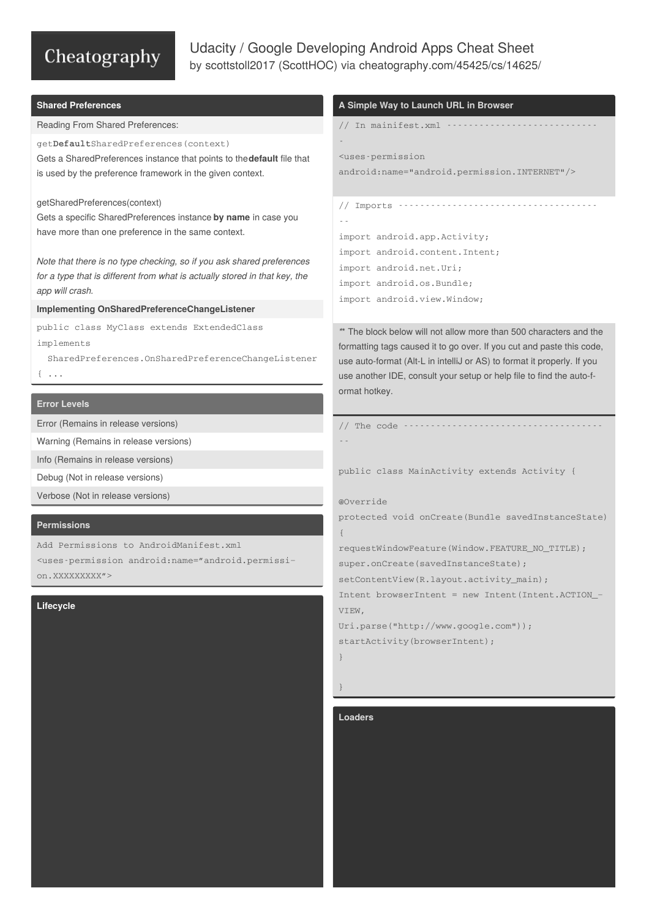# Cheatography

# Udacity / Google Developing Android Apps Cheat Sheet by [scottstoll2017](http://www.cheatography.com/scotthoc/) (ScottHOC) via [cheatography.com/45425/cs/14625/](http://www.cheatography.com/scotthoc/cheat-sheets/udacity-google-developing-android-apps)

#### **Shared Preferences**

Reading From Shared Preferences:

get**Default**SharedPreferences(context)

Gets a SharedPreferences instance that points to the**default** file that is used by the preference framework in the given context.

#### getSharedPreferences(context)

Gets a specific SharedPreferences instance **by name** in case you have more than one preference in the same context.

*Note that there is no type checking, so if you ask shared preferences for a type that is different from what is actually stored in that key, the app will crash.*

#### **Implementing OnSharedPreferenceChangeListener**

public class MyClass extends ExtendedClass implements

SharedPreferences.OnSharedPreferenceChangeListener  $\{ \ldots$ 

### **Error Levels**

Error (Remains in release versions)

Warning (Remains in release versions)

Info (Remains in release versions)

Debug (Not in release versions)

Verbose (Not in release versions)

# **Permissions**

Add Permissions to AndroidManifest.xml

<uses-permission android:name="android.permissi‐ on.XXXXXXXXX">

#### **Lifecycle**

## **A Simple Way to Launch URL in Browser**

```
// In mainifest.xml ----------------------------
-
<uses-permission
android:name="android.permission.INTERNET"/>
// Imports -------------------------------------
```
- import android.app.Activity; import android.content.Intent; import android.net.Uri; import android.os.Bundle; import android.view.Window;

*\**\* The block below will not allow more than 500 characters and the formatting tags caused it to go over. If you cut and paste this code, use auto-format (Alt-L in intelliJ or AS) to format it properly. If you use another IDE, consult your setup or help file to find the auto-f‐ ormat hotkey.

// The code ------------------------------------- --

public class MainActivity extends Activity {

#### @Override

protected void onCreate(Bundle savedInstanceState) {

requestWindowFeature(Window.FEATURE\_NO\_TITLE); super.onCreate(savedInstanceState);

setContentView(R.layout.activity\_main);

Intent browserIntent = new Intent(Intent.ACTION\_‐ VIEW,

Uri.parse("http://www.google.com")); startActivity(browserIntent);

}

# }

#### **Loaders**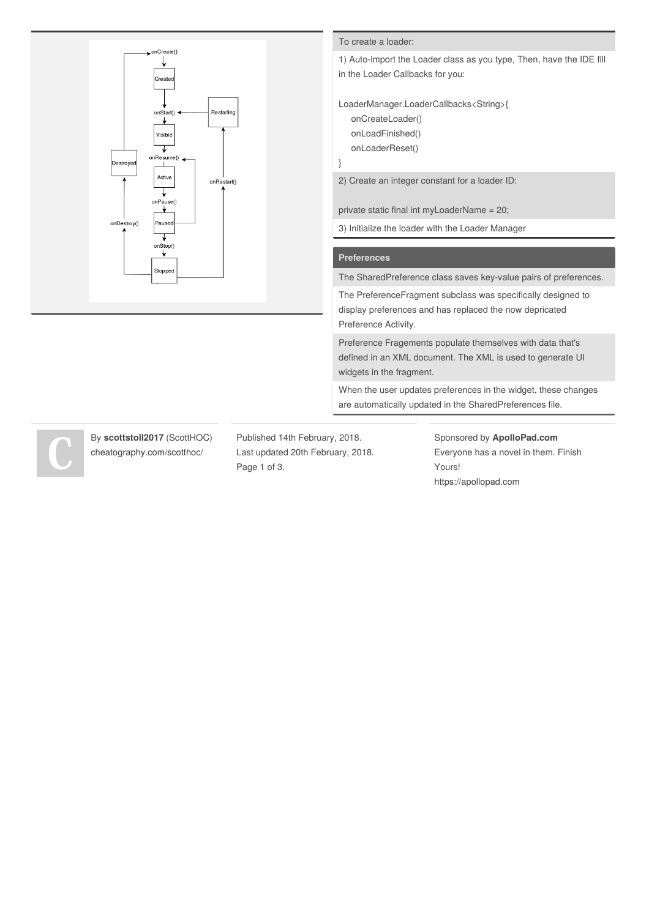

#### To create a loader:

1) Auto-import the Loader class as you type, Then, have the IDE fill in the Loader Callbacks for you:

LoaderManager.LoaderCallbacks<String>{ onCreateLoader()

onLoadFinished()

onLoaderReset()

}

2) Create an integer constant for a loader ID:

private static final int myLoaderName = 20;

3) Initialize the loader with the Loader Manager

#### **Preferences**

The SharedPreference class saves key-value pairs of preferences.

The PreferenceFragment subclass was specifically designed to display preferences and has replaced the now depricated Preference Activity.

Preference Fragements populate themselves with data that's defined in an XML document. The XML is used to generate UI widgets in the fragment.

When the user updates preferences in the widget, these changes are automatically updated in the SharedPreferences file.

By **scottstoll2017** (ScottHOC) [cheatography.com/scotthoc/](http://www.cheatography.com/scotthoc/)

Published 14th February, 2018. Last updated 20th February, 2018. Page 1 of 3.

Sponsored by **ApolloPad.com** Everyone has a novel in them. Finish Yours! <https://apollopad.com>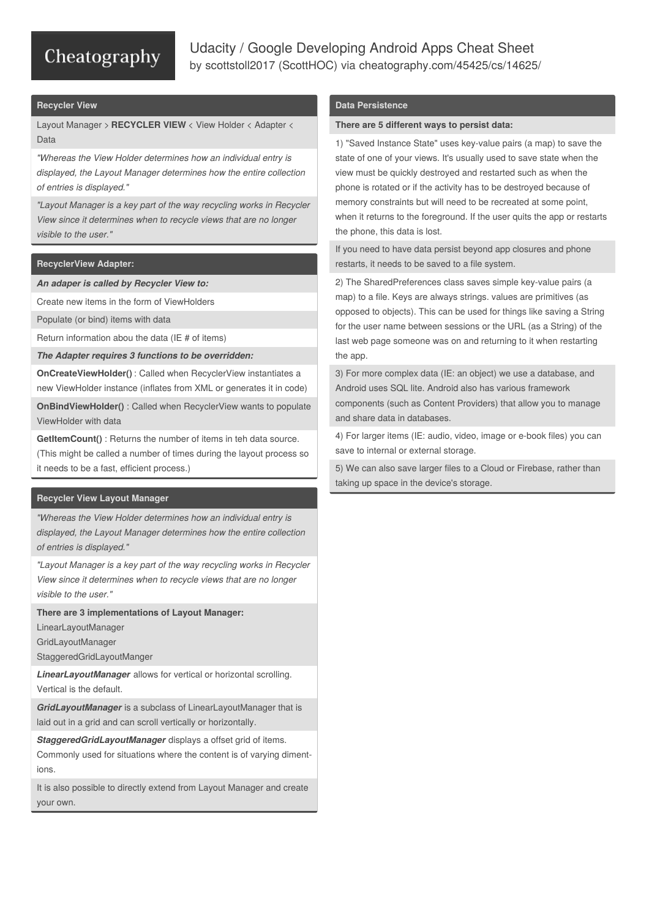# Cheatography

# Udacity / Google Developing Android Apps Cheat Sheet by [scottstoll2017](http://www.cheatography.com/scotthoc/) (ScottHOC) via [cheatography.com/45425/cs/14625/](http://www.cheatography.com/scotthoc/cheat-sheets/udacity-google-developing-android-apps)

#### **Recycler View**

Layout Manager > **RECYCLER VIEW** < View Holder < Adapter < Data

*"Whereas the View Holder determines how an individual entry is displayed, the Layout Manager determines how the entire collection of entries is displayed."*

*"Layout Manager is a key part of the way recycling works in Recycler View since it determines when to recycle views that are no longer visible to the user."*

## **RecyclerView Adapter:**

*An adaper is called by Recycler View to:*

Create new items in the form of ViewHolders

Populate (or bind) items with data

Return information abou the data (IE # of items)

*The Adapter requires 3 functions to be overridden:*

**OnCreateViewHolder()** : Called when RecyclerView instantiates a new ViewHolder instance (inflates from XML or generates it in code)

**OnBindViewHolder()** : Called when RecyclerView wants to populate ViewHolder with data

**GetItemCount()** : Returns the number of items in teh data source. (This might be called a number of times during the layout process so it needs to be a fast, efficient process.)

## **Recycler View Layout Manager**

*"Whereas the View Holder determines how an individual entry is displayed, the Layout Manager determines how the entire collection of entries is displayed."*

*"Layout Manager is a key part of the way recycling works in Recycler View since it determines when to recycle views that are no longer visible to the user."*

**There are 3 implementations of Layout Manager:**

LinearLayoutManager

GridLayoutManager

StaggeredGridLayoutManger

*LinearLayoutManager* allows for vertical or horizontal scrolling. Vertical is the default.

*GridLayoutManager* is a subclass of LinearLayoutManager that is laid out in a grid and can scroll vertically or horizontally.

*StaggeredGridLayoutManager* displays a offset grid of items.

Commonly used for situations where the content is of varying diment‐ ions.

It is also possible to directly extend from Layout Manager and create your own.

# **Data Persistence**

#### **There are 5 different ways to persist data:**

1) "Saved Instance State" uses key-value pairs (a map) to save the state of one of your views. It's usually used to save state when the view must be quickly destroyed and restarted such as when the phone is rotated or if the activity has to be destroyed because of memory constraints but will need to be recreated at some point, when it returns to the foreground. If the user quits the app or restarts the phone, this data is lost.

If you need to have data persist beyond app closures and phone restarts, it needs to be saved to a file system.

2) The SharedPreferences class saves simple key-value pairs (a map) to a file. Keys are always strings. values are primitives (as opposed to objects). This can be used for things like saving a String for the user name between sessions or the URL (as a String) of the last web page someone was on and returning to it when restarting the app.

3) For more complex data (IE: an object) we use a database, and Android uses SQL lite. Android also has various framework components (such as Content Providers) that allow you to manage and share data in databases.

4) For larger items (IE: audio, video, image or e-book files) you can save to internal or external storage.

5) We can also save larger files to a Cloud or Firebase, rather than taking up space in the device's storage.